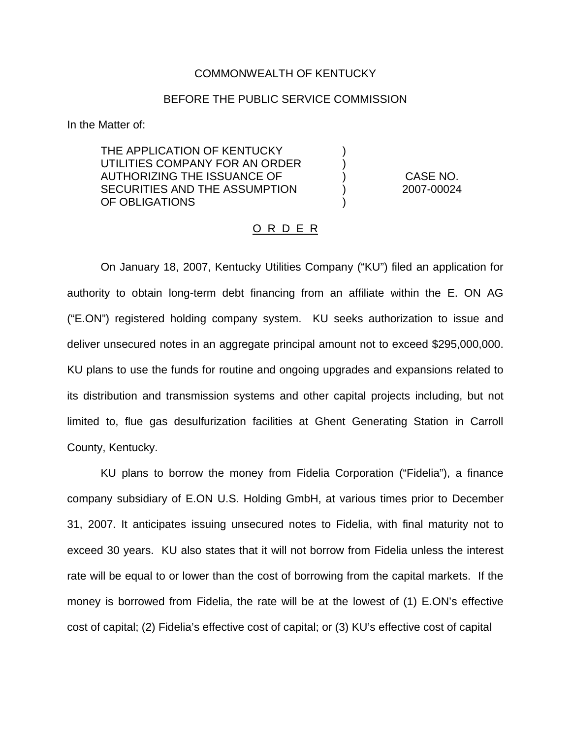## COMMONWEALTH OF KENTUCKY

## BEFORE THE PUBLIC SERVICE COMMISSION

) )

)

In the Matter of:

THE APPLICATION OF KENTUCKY UTILITIES COMPANY FOR AN ORDER AUTHORIZING THE ISSUANCE OF SECURITIES AND THE ASSUMPTION OF OBLIGATIONS

) CASE NO. ) 2007-00024

## <u>O R D E R</u>

On January 18, 2007, Kentucky Utilities Company ("KU") filed an application for authority to obtain long-term debt financing from an affiliate within the E. ON AG ("E.ON") registered holding company system. KU seeks authorization to issue and deliver unsecured notes in an aggregate principal amount not to exceed \$295,000,000. KU plans to use the funds for routine and ongoing upgrades and expansions related to its distribution and transmission systems and other capital projects including, but not limited to, flue gas desulfurization facilities at Ghent Generating Station in Carroll County, Kentucky.

KU plans to borrow the money from Fidelia Corporation ("Fidelia"), a finance company subsidiary of E.ON U.S. Holding GmbH, at various times prior to December 31, 2007. It anticipates issuing unsecured notes to Fidelia, with final maturity not to exceed 30 years. KU also states that it will not borrow from Fidelia unless the interest rate will be equal to or lower than the cost of borrowing from the capital markets. If the money is borrowed from Fidelia, the rate will be at the lowest of (1) E.ON's effective cost of capital; (2) Fidelia's effective cost of capital; or (3) KU's effective cost of capital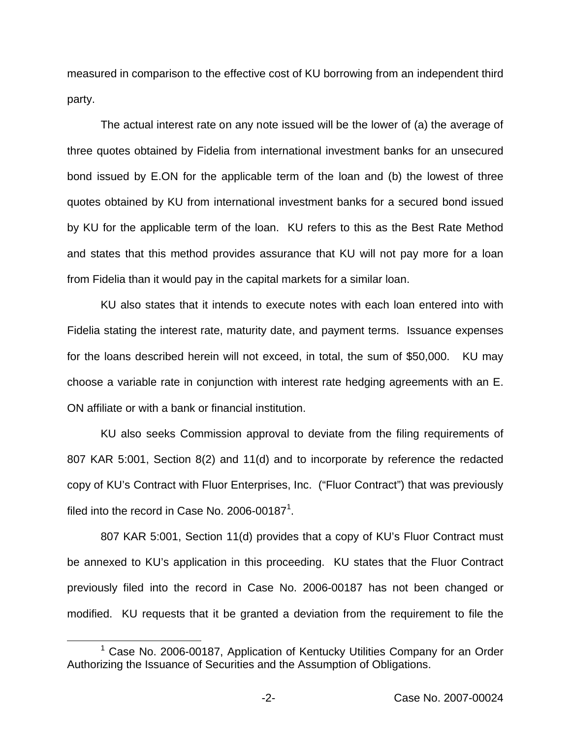measured in comparison to the effective cost of KU borrowing from an independent third party.

The actual interest rate on any note issued will be the lower of (a) the average of three quotes obtained by Fidelia from international investment banks for an unsecured bond issued by E.ON for the applicable term of the loan and (b) the lowest of three quotes obtained by KU from international investment banks for a secured bond issued by KU for the applicable term of the loan. KU refers to this as the Best Rate Method and states that this method provides assurance that KU will not pay more for a loan from Fidelia than it would pay in the capital markets for a similar loan.

KU also states that it intends to execute notes with each loan entered into with Fidelia stating the interest rate, maturity date, and payment terms. Issuance expenses for the loans described herein will not exceed, in total, the sum of \$50,000. KU may choose a variable rate in conjunction with interest rate hedging agreements with an E. ON affiliate or with a bank or financial institution.

KU also seeks Commission approval to deviate from the filing requirements of 807 KAR 5:001, Section 8(2) and 11(d) and to incorporate by reference the redacted copy of KU's Contract with Fluor Enterprises, Inc. ("Fluor Contract") that was previously filed into the record in Case No. 2006-00187<sup>1</sup>.

807 KAR 5:001, Section 11(d) provides that a copy of KU's Fluor Contract must be annexed to KU's application in this proceeding. KU states that the Fluor Contract previously filed into the record in Case No. 2006-00187 has not been changed or modified. KU requests that it be granted a deviation from the requirement to file the

 $1$  Case No. 2006-00187, Application of Kentucky Utilities Company for an Order Authorizing the Issuance of Securities and the Assumption of Obligations.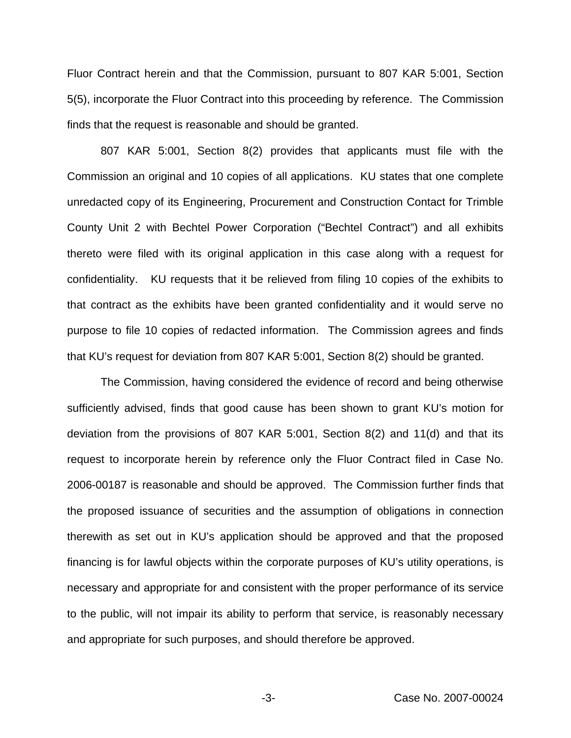Fluor Contract herein and that the Commission, pursuant to 807 KAR 5:001, Section 5(5), incorporate the Fluor Contract into this proceeding by reference. The Commission finds that the request is reasonable and should be granted.

807 KAR 5:001, Section 8(2) provides that applicants must file with the Commission an original and 10 copies of all applications. KU states that one complete unredacted copy of its Engineering, Procurement and Construction Contact for Trimble County Unit 2 with Bechtel Power Corporation ("Bechtel Contract") and all exhibits thereto were filed with its original application in this case along with a request for confidentiality. KU requests that it be relieved from filing 10 copies of the exhibits to that contract as the exhibits have been granted confidentiality and it would serve no purpose to file 10 copies of redacted information. The Commission agrees and finds that KU's request for deviation from 807 KAR 5:001, Section 8(2) should be granted.

The Commission, having considered the evidence of record and being otherwise sufficiently advised, finds that good cause has been shown to grant KU's motion for deviation from the provisions of 807 KAR 5:001, Section 8(2) and 11(d) and that its request to incorporate herein by reference only the Fluor Contract filed in Case No. 2006-00187 is reasonable and should be approved. The Commission further finds that the proposed issuance of securities and the assumption of obligations in connection therewith as set out in KU's application should be approved and that the proposed financing is for lawful objects within the corporate purposes of KU's utility operations, is necessary and appropriate for and consistent with the proper performance of its service to the public, will not impair its ability to perform that service, is reasonably necessary and appropriate for such purposes, and should therefore be approved.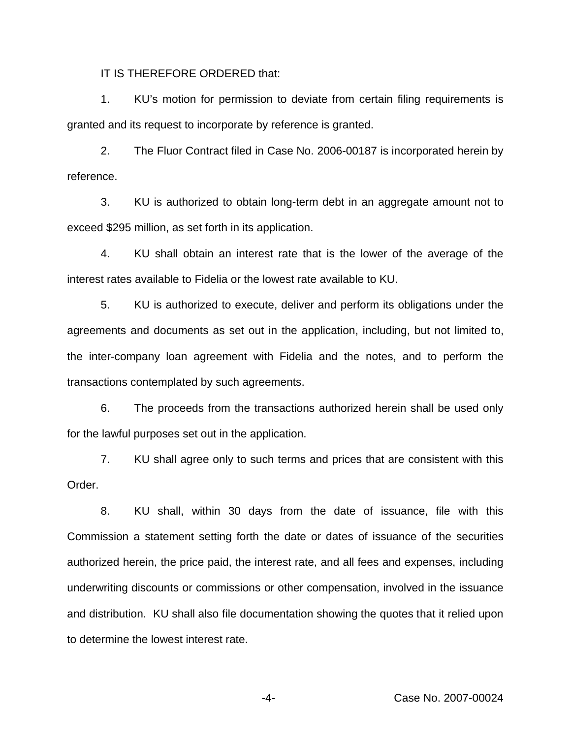IT IS THEREFORE ORDERED that:

1. KU's motion for permission to deviate from certain filing requirements is granted and its request to incorporate by reference is granted.

2. The Fluor Contract filed in Case No. 2006-00187 is incorporated herein by reference.

3. KU is authorized to obtain long-term debt in an aggregate amount not to exceed \$295 million, as set forth in its application.

4. KU shall obtain an interest rate that is the lower of the average of the interest rates available to Fidelia or the lowest rate available to KU.

5. KU is authorized to execute, deliver and perform its obligations under the agreements and documents as set out in the application, including, but not limited to, the inter-company loan agreement with Fidelia and the notes, and to perform the transactions contemplated by such agreements.

6. The proceeds from the transactions authorized herein shall be used only for the lawful purposes set out in the application.

7. KU shall agree only to such terms and prices that are consistent with this Order.

8. KU shall, within 30 days from the date of issuance, file with this Commission a statement setting forth the date or dates of issuance of the securities authorized herein, the price paid, the interest rate, and all fees and expenses, including underwriting discounts or commissions or other compensation, involved in the issuance and distribution. KU shall also file documentation showing the quotes that it relied upon to determine the lowest interest rate.